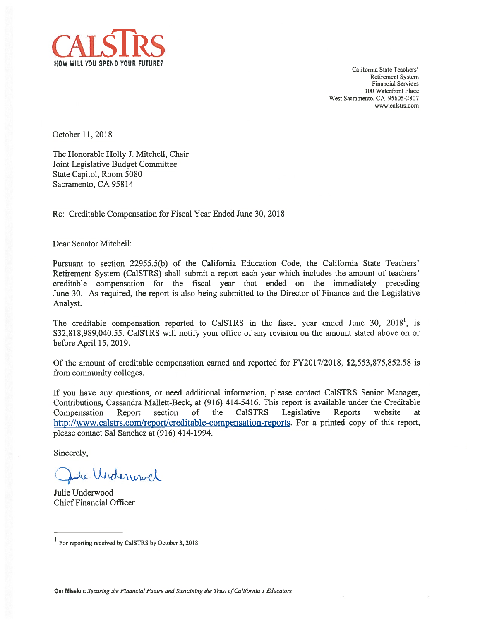

California State Teachers' Retirement System financial Services 100 Waterfront Place West Sacramento, CA 95605-280? www.calstrs.com

October 11,2018

The Honorable Holly J. Mitchell, Chair Joint Legislative Budget Committee State Capitol, Room 5080 Sacramento, CA 95814

Re: Creditable Compensation for Fiscal Year Ended June 30, 2018

Dear Senator Mitchell:

Pursuant to section 22955.5(b) of the California Education Code, the California State Teachers' Retirement System (Ca1STRS) shall submit <sup>a</sup> repor<sup>t</sup> each year which includes the amount of teachers' creditable compensation for the fiscal year that ended on the immediately preceding June 30. As required, the repor<sup>t</sup> is also being submitted to the Director of Finance and the Legislative Analyst.

The creditable compensation reported to CalSTRS in the fiscal year ended June 30, 2018<sup>1</sup>, is \$32,818,989,040.55. Ca1STRS will notify your office of any revision on the amount stated above on or before April 15, 2019.

Of the amount of creditable compensation earned and reported for FY20 17/2018, \$2,553,875,852.58 is from community colleges.

If you have any questions, or need additional information, please contact Ca1STRS Senior Manager, Contributions, Cassandra Mallett-Beck, at (916) 414-5416. This repor<sup>t</sup> is available under the Creditable Compensation Report section of the Ca1STRS Legislative Reports website at http://www.calstrs.com/report/creditable-compensation-reports. For a printed copy of this report, please contact Sal Sanchez at (916) 414-1994.

Sincerely,

the Underwood

Julie Underwood Chief Financial Officer

<sup>&</sup>lt;sup>1</sup> For reporting received by CaISTRS by October 3, 2018